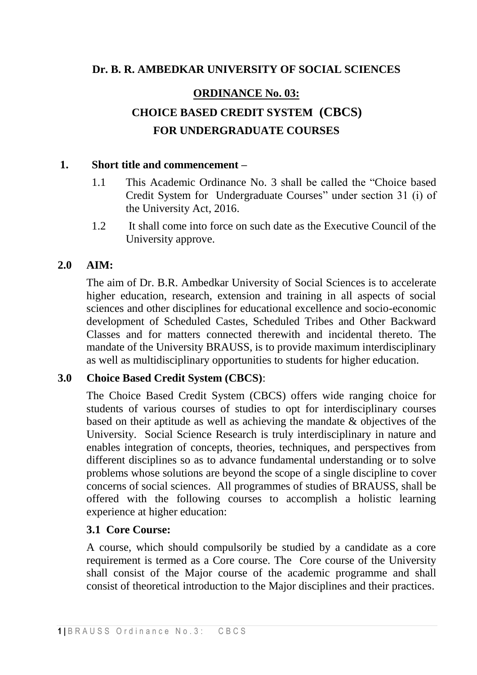# **Dr. B. R. AMBEDKAR UNIVERSITY OF SOCIAL SCIENCES**

### **ORDINANCE No. 03:**

# **CHOICE BASED CREDIT SYSTEM (CBCS) FOR UNDERGRADUATE COURSES**

#### **1. Short title and commencement –**

- 1.1 This Academic Ordinance No. 3 shall be called the "Choice based Credit System for Undergraduate Courses" under section 31 (i) of the University Act, 2016.
- 1.2 It shall come into force on such date as the Executive Council of the University approve.

#### **2.0 AIM:**

The aim of Dr. B.R. Ambedkar University of Social Sciences is to accelerate higher education, research, extension and training in all aspects of social sciences and other disciplines for educational excellence and socio-economic development of Scheduled Castes, Scheduled Tribes and Other Backward Classes and for matters connected therewith and incidental thereto. The mandate of the University BRAUSS, is to provide maximum interdisciplinary as well as multidisciplinary opportunities to students for higher education.

#### **3.0 Choice Based Credit System (CBCS)**:

The Choice Based Credit System (CBCS) offers wide ranging choice for students of various courses of studies to opt for interdisciplinary courses based on their aptitude as well as achieving the mandate & objectives of the University. Social Science Research is truly interdisciplinary in nature and enables integration of concepts, theories, techniques, and perspectives from different disciplines so as to advance fundamental understanding or to solve problems whose solutions are beyond the scope of a single discipline to cover concerns of social sciences. All programmes of studies of BRAUSS, shall be offered with the following courses to accomplish a holistic learning experience at higher education:

#### **3.1 Core Course:**

A course, which should compulsorily be studied by a candidate as a core requirement is termed as a Core course. The Core course of the University shall consist of the Major course of the academic programme and shall consist of theoretical introduction to the Major disciplines and their practices.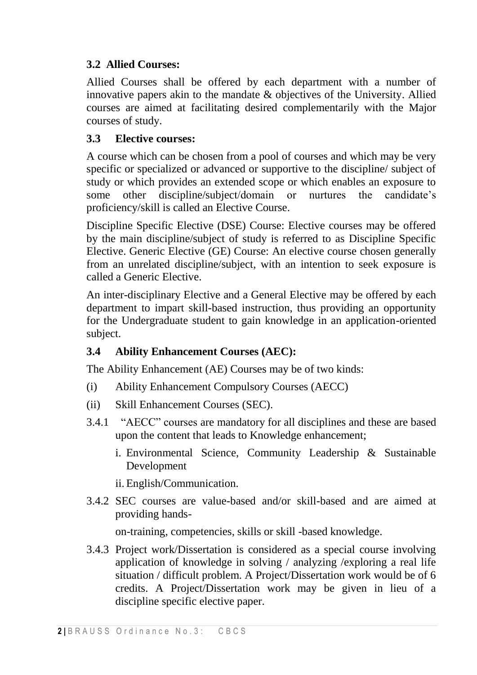# **3.2 Allied Courses:**

Allied Courses shall be offered by each department with a number of innovative papers akin to the mandate & objectives of the University. Allied courses are aimed at facilitating desired complementarily with the Major courses of study.

# **3.3 Elective courses:**

A course which can be chosen from a pool of courses and which may be very specific or specialized or advanced or supportive to the discipline/ subject of study or which provides an extended scope or which enables an exposure to some other discipline/subject/domain or nurtures the candidate's proficiency/skill is called an Elective Course.

Discipline Specific Elective (DSE) Course: Elective courses may be offered by the main discipline/subject of study is referred to as Discipline Specific Elective. Generic Elective (GE) Course: An elective course chosen generally from an unrelated discipline/subject, with an intention to seek exposure is called a Generic Elective.

An inter-disciplinary Elective and a General Elective may be offered by each department to impart skill-based instruction, thus providing an opportunity for the Undergraduate student to gain knowledge in an application-oriented subject.

# **3.4 Ability Enhancement Courses (AEC):**

The Ability Enhancement (AE) Courses may be of two kinds:

- (i) Ability Enhancement Compulsory Courses (AECC)
- (ii) Skill Enhancement Courses (SEC).
- 3.4.1 "AECC" courses are mandatory for all disciplines and these are based upon the content that leads to Knowledge enhancement;
	- i. Environmental Science, Community Leadership & Sustainable Development

ii.English/Communication.

3.4.2 SEC courses are value-based and/or skill-based and are aimed at providing hands-

on-training, competencies, skills or skill -based knowledge.

3.4.3 Project work/Dissertation is considered as a special course involving application of knowledge in solving / analyzing /exploring a real life situation / difficult problem. A Project/Dissertation work would be of 6 credits. A Project/Dissertation work may be given in lieu of a discipline specific elective paper.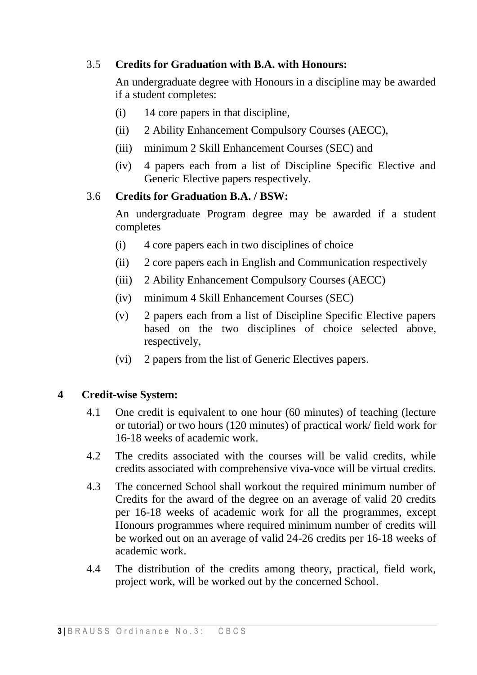# 3.5 **Credits for Graduation with B.A. with Honours:**

An undergraduate degree with Honours in a discipline may be awarded if a student completes:

- (i) 14 core papers in that discipline,
- (ii) 2 Ability Enhancement Compulsory Courses (AECC),
- (iii) minimum 2 Skill Enhancement Courses (SEC) and
- (iv) 4 papers each from a list of Discipline Specific Elective and Generic Elective papers respectively.

### 3.6 **Credits for Graduation B.A. / BSW:**

An undergraduate Program degree may be awarded if a student completes

- (i) 4 core papers each in two disciplines of choice
- (ii) 2 core papers each in English and Communication respectively
- (iii) 2 Ability Enhancement Compulsory Courses (AECC)
- (iv) minimum 4 Skill Enhancement Courses (SEC)
- (v) 2 papers each from a list of Discipline Specific Elective papers based on the two disciplines of choice selected above, respectively,
- (vi) 2 papers from the list of Generic Electives papers.

# **4 Credit-wise System:**

- 4.1 One credit is equivalent to one hour (60 minutes) of teaching (lecture or tutorial) or two hours (120 minutes) of practical work/ field work for 16-18 weeks of academic work.
- 4.2 The credits associated with the courses will be valid credits, while credits associated with comprehensive viva-voce will be virtual credits.
- 4.3 The concerned School shall workout the required minimum number of Credits for the award of the degree on an average of valid 20 credits per 16-18 weeks of academic work for all the programmes, except Honours programmes where required minimum number of credits will be worked out on an average of valid 24-26 credits per 16-18 weeks of academic work.
- 4.4 The distribution of the credits among theory, practical, field work, project work, will be worked out by the concerned School.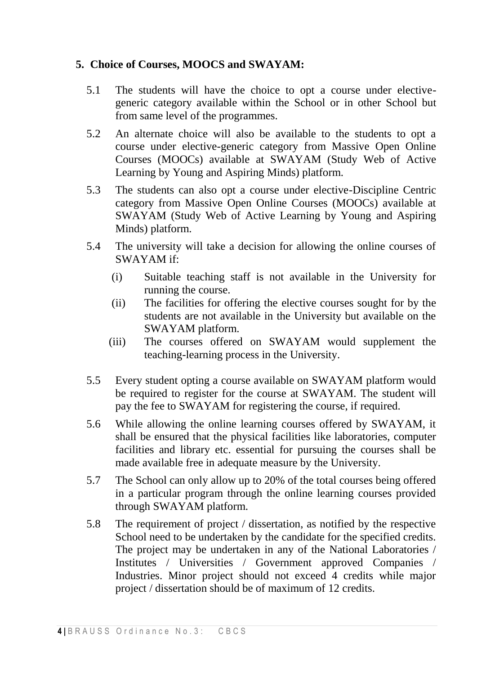# **5. Choice of Courses, MOOCS and SWAYAM:**

- 5.1 The students will have the choice to opt a course under electivegeneric category available within the School or in other School but from same level of the programmes.
- 5.2 An alternate choice will also be available to the students to opt a course under elective-generic category from Massive Open Online Courses (MOOCs) available at SWAYAM (Study Web of Active Learning by Young and Aspiring Minds) platform.
- 5.3 The students can also opt a course under elective-Discipline Centric category from Massive Open Online Courses (MOOCs) available at SWAYAM (Study Web of Active Learning by Young and Aspiring Minds) platform.
- 5.4 The university will take a decision for allowing the online courses of SWAYAM if:
	- (i) Suitable teaching staff is not available in the University for running the course.
	- (ii) The facilities for offering the elective courses sought for by the students are not available in the University but available on the SWAYAM platform.
	- (iii) The courses offered on SWAYAM would supplement the teaching-learning process in the University.
- 5.5 Every student opting a course available on SWAYAM platform would be required to register for the course at SWAYAM. The student will pay the fee to SWAYAM for registering the course, if required.
- 5.6 While allowing the online learning courses offered by SWAYAM, it shall be ensured that the physical facilities like laboratories, computer facilities and library etc. essential for pursuing the courses shall be made available free in adequate measure by the University.
- 5.7 The School can only allow up to 20% of the total courses being offered in a particular program through the online learning courses provided through SWAYAM platform.
- 5.8 The requirement of project / dissertation, as notified by the respective School need to be undertaken by the candidate for the specified credits. The project may be undertaken in any of the National Laboratories / Institutes / Universities / Government approved Companies / Industries. Minor project should not exceed 4 credits while major project / dissertation should be of maximum of 12 credits.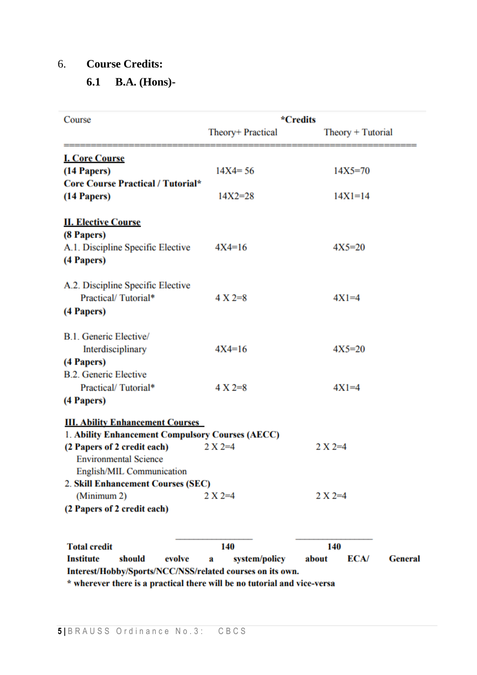### 6. **Course Credits:**

# **6.1 B.A. (Hons)-**

| Course                                                    | *Credits           |                                 |  |
|-----------------------------------------------------------|--------------------|---------------------------------|--|
|                                                           | Theory+ Practical  | $Theory + Tutorial$             |  |
| <b>I. Core Course</b>                                     |                    |                                 |  |
| (14 Papers)                                               | $14X4 = 56$        | $14X5 = 70$                     |  |
| Core Course Practical / Tutorial*                         |                    |                                 |  |
| (14 Papers)                                               | $14X2 = 28$        | $14X1 = 14$                     |  |
| <b>II. Elective Course</b>                                |                    |                                 |  |
| (8 Papers)                                                |                    |                                 |  |
| A.1. Discipline Specific Elective                         | $4X4=16$           | $4X5=20$                        |  |
| (4 Papers)                                                |                    |                                 |  |
| A.2. Discipline Specific Elective                         |                    |                                 |  |
| Practical/Tutorial*                                       | $4 X 2=8$          | $4X1=4$                         |  |
| (4 Papers)                                                |                    |                                 |  |
| B.1. Generic Elective/                                    |                    |                                 |  |
| Interdisciplinary                                         | $4X4=16$           | $4X5=20$                        |  |
| (4 Papers)                                                |                    |                                 |  |
| <b>B.2. Generic Elective</b>                              |                    |                                 |  |
| Practical/Tutorial*                                       | $4 X 2 = 8$        | $4X1=4$                         |  |
| (4 Papers)                                                |                    |                                 |  |
| <b>III. Ability Enhancement Courses</b>                   |                    |                                 |  |
| 1. Ability Enhancement Compulsory Courses (AECC)          |                    |                                 |  |
| (2 Papers of 2 credit each)                               | $2 X 2=4$          | $2 X 2 = 4$                     |  |
| <b>Environmental Science</b>                              |                    |                                 |  |
| English/MIL Communication                                 |                    |                                 |  |
| 2. Skill Enhancement Courses (SEC)                        |                    |                                 |  |
| (Minimum 2)                                               | $2 X 2 = 4$        | $2 X 2=4$                       |  |
| (2 Papers of 2 credit each)                               |                    |                                 |  |
| <b>Total credit</b>                                       | 140                | 140                             |  |
| <b>Institute</b><br>should<br>evolve                      | system/policy<br>a | about<br>ECA/<br><b>General</b> |  |
| Interest/Hobby/Sports/NCC/NSS/related courses on its own. |                    |                                 |  |
|                                                           |                    |                                 |  |

\* wherever there is a practical there will be no tutorial and vice-versa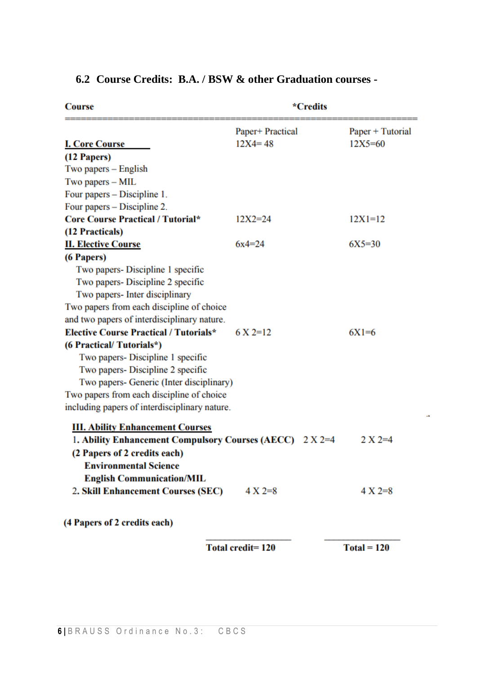| <b>Course</b>                                    | *Credits         |                      |
|--------------------------------------------------|------------------|----------------------|
|                                                  | Paper+ Practical | Paper + Tutorial     |
| <b>I. Core Course</b>                            | $12X4 = 48$      | $12X5 = 60$          |
| (12 Papers)                                      |                  |                      |
| Two papers – English                             |                  |                      |
| Two papers - MIL                                 |                  |                      |
| Four papers – Discipline 1.                      |                  |                      |
| Four papers – Discipline 2.                      |                  |                      |
| <b>Core Course Practical / Tutorial*</b>         | $12X2 = 24$      | $12X1=12$            |
| (12 Practicals)                                  |                  |                      |
| <b>II. Elective Course</b>                       | $6x4=24$         | $6X5 = 30$           |
| (6 Papers)                                       |                  |                      |
| Two papers-Discipline 1 specific                 |                  |                      |
| Two papers- Discipline 2 specific                |                  |                      |
| Two papers- Inter disciplinary                   |                  |                      |
| Two papers from each discipline of choice        |                  |                      |
| and two papers of interdisciplinary nature.      |                  |                      |
| <b>Elective Course Practical / Tutorials*</b>    | $6 \times 2=12$  | $6X1=6$              |
| (6 Practical/Tutorials*)                         |                  |                      |
| Two papers- Discipline 1 specific                |                  |                      |
| Two papers- Discipline 2 specific                |                  |                      |
| Two papers- Generic (Inter disciplinary)         |                  |                      |
| Two papers from each discipline of choice        |                  |                      |
| including papers of interdisciplinary nature.    |                  |                      |
| <b>III. Ability Enhancement Courses</b>          |                  |                      |
| 1. Ability Enhancement Compulsory Courses (AECC) | $2 X 2 = 4$      | $2 \text{ X } 2 = 4$ |
| (2 Papers of 2 credits each)                     |                  |                      |
| <b>Environmental Science</b>                     |                  |                      |
| <b>English Communication/MIL</b>                 |                  |                      |
| 2. Skill Enhancement Courses (SEC)               | $4 X 2=8$        | $4 X 2 = 8$          |
| (4 Papers of 2 credits each)                     |                  |                      |

# **6.2 Course Credits: B.A. / BSW & other Graduation courses -**

Total credit=120

 $Total = 120$ 

ů,